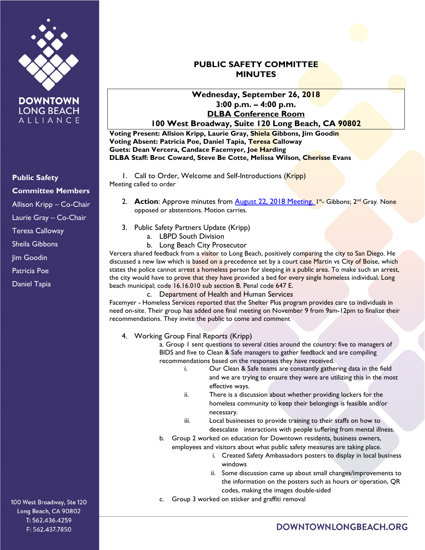

**DOWNTOWN LONG BEACH** ALLIANCE

#### 100 West Broadway, Ste 120 Long Beach, CA 90802 T: 562.436.4259 F: 562.437.7850

## **PUBLIC SAFETY COMMITTEE MINUTES**

#### **Wednesday, September 26, 2018 3:00 p.m. – 4:00 p.m. DLBA Conference Room 100 West Broadway, Suite 120 Long Beach, CA 90802**

**Voting Present: Allsion Kripp, Laurie Gray, Shiela Gibbons, Jim Goodin Voting Absent: Patricia Poe, Daniel Tapia, Teresa Calloway Guets: Dean Vercera, Candace Facemyer, Joe Harding DLBA Staff: Broc Coward, Steve Be Cotte, Melissa Wilson, Cherisse Evans**

1. Call to Order, Welcome and Self-Introductions (Kripp) Meeting called to order

- 2. **Action**: Approve minutes from **August 22, 2018 Meeting.** 1st. Gibbons; 2<sup>nd</sup> Gray. None opposed or abstentions. Motion carries.
- 3. Public Safety Partners Update (Kripp)
	- a. LBPD South Division
	- b. Long Beach City Prosecutor

Vercera shared feedback from a visitor to Long Beach, positively comparing the city to San Diego. He discussed a new law which is based on a precedence set by a court case Martin vs City of Boise, which states the police cannot arrest a homeless person for sleeping in a public area. To make such an arrest, the city would have to prove that they have provided a bed for every single homeless individual. Long beach municipal; code 16.16.010 sub section B. Penal code 647 E.

c. Department of Health and Human Services

Facemyer - Homeless Services reported that the Shelter Plus program provides care to individuals in need on-site. Their group has added one final meeting on November 9 from 9am-12pm to finalize their recommendations. They invite the public to come and comment

4. Working Group Final Reports (Kripp)

a. Group 1 sent questions to several cities around the country: five to managers of BIDS and five to Clean & Safe managers to gather feedback and are compiling recommendations based on the responses they have received.

- i. Our Clean & Safe teams are constantly gathering data in the field and we are trying to ensure they were are utilizing this in the most effective ways.
- ii. There is a discussion about whether providing lockers for the homeless community to keep their belongings is feasible and/or necessary.
- iii. Local businesses to provide training to their staffs on how to deescalate interactions with people suffering from mental illness.
- b. Group 2 worked on education for Downtown residents, business owners, employees and visitors about what public safety measures are taking place.
	- i. Created Safety Ambassadors posters to display in local business windows
	- ii. Some discussion came up about small changes/improvements to the information on the posters such as hours or operation, QR codes, making the images double-sided
- c. Group 3 worked on sticker and graffiti removal

# DOWNTOWNLONGBEACH.ORG

**Public Safety Committee Members**

Allison Kripp – Co-Chair

Laurie Gray – Co-Chair

Teresa Calloway

Sheila Gibbons

**Iim Goodin** 

Patricia Poe

Daniel Tapia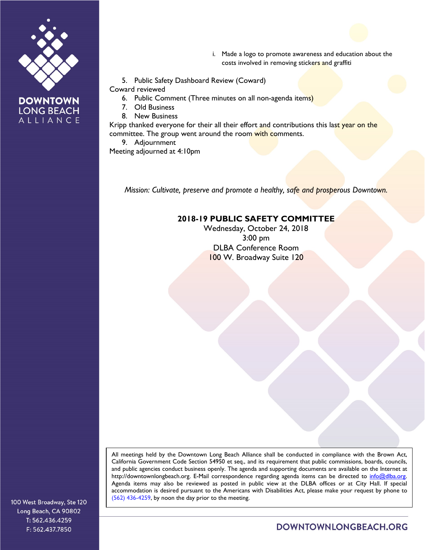

**LONG BEACH** ALLIANCE

- i. Made a logo to promote awareness and education about the costs involved in removing stickers and graffiti
- 5. Public Safety Dashboard Review (Coward)
- Coward reviewed
	- 6. Public Comment (Three minutes on all non-agenda items)
	- 7. Old Business
	- 8. New Business

Kripp thanked everyone for their all their effort and contributions this last year on the committee. The group went around the room with comments.

9. Adjournment

Meeting adjourned at 4:10pm

*Mission: Cultivate, preserve and promote a healthy, safe and prosperous Downtown.*

### **2018-19 PUBLIC SAFETY COMMITTEE**

Wednesday, October 24, 2018 3:00 pm DLBA Conference Room 100 W. Broadway Suite 120

All meetings held by the Downtown Long Beach Alliance shall be conducted in compliance with the Brown Act, California Government Code Section 54950 et seq., and its requirement that public commissions, boards, councils, and public agencies conduct business openly. The agenda and supporting documents are available on the Internet at http://downtownlongbeach.org. E-Mail correspondence regarding agenda items can be directed to info@dlba.org. Agenda items may also be reviewed as posted in public view at the DLBA offices or at City Hall. If special accommodation is desired pursuant to the Americans with Disabilities Act, please make your request by phone to (562) 436-4259, by noon the day prior to the meeting.

100 West Broadway, Ste 120 Long Beach, CA 90802 T: 562.436.4259 F: 562.437.7850